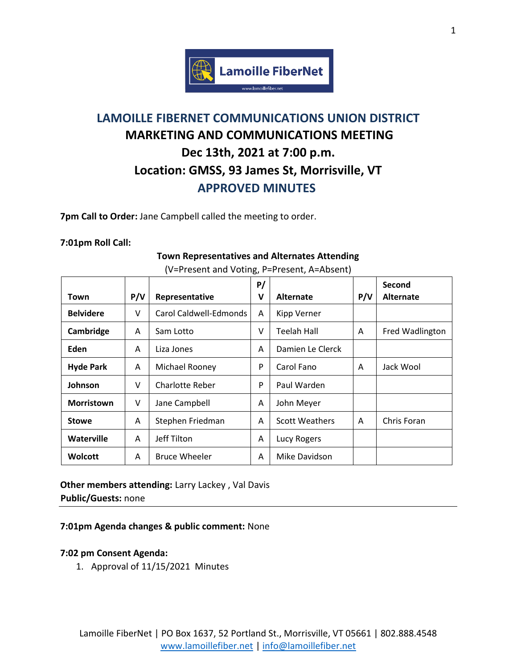

# **LAMOILLE FIBERNET COMMUNICATIONS UNION DISTRICT MARKETING AND COMMUNICATIONS MEETING Dec 13th, 2021 at 7:00 p.m. Location: GMSS, 93 James St, Morrisville, VT APPROVED MINUTES**

**7pm Call to Order:** Jane Campbell called the meeting to order.

#### **7:01pm Roll Call:**

| Town              | P/V | Representative         | P/<br>V | Alternate             | P/V | Second<br><b>Alternate</b> |
|-------------------|-----|------------------------|---------|-----------------------|-----|----------------------------|
| <b>Belvidere</b>  | V   | Carol Caldwell-Edmonds | A       | <b>Kipp Verner</b>    |     |                            |
| Cambridge         | A   | Sam Lotto              | v       | Teelah Hall           | A   | Fred Wadlington            |
| Eden              | A   | Liza Jones             | A       | Damien Le Clerck      |     |                            |
| <b>Hyde Park</b>  | A   | Michael Rooney         | P       | Carol Fano            | A   | Jack Wool                  |
| Johnson           | V   | <b>Charlotte Reber</b> | P       | Paul Warden           |     |                            |
| <b>Morristown</b> | V   | Jane Campbell          | A       | John Meyer            |     |                            |
| <b>Stowe</b>      | A   | Stephen Friedman       | A       | <b>Scott Weathers</b> | A   | Chris Foran                |
| Waterville        | A   | Jeff Tilton            | A       | <b>Lucy Rogers</b>    |     |                            |
| <b>Wolcott</b>    | A   | <b>Bruce Wheeler</b>   | A       | Mike Davidson         |     |                            |

### **Town Representatives and Alternates Attending** (V=Present and Voting, P=Present, A=Absent)

**Other members attending:** Larry Lackey , Val Davis **Public/Guests:** none

#### **7:01pm Agenda changes & public comment:** None

#### **7:02 pm Consent Agenda:**

1. Approval of 11/15/2021 Minutes